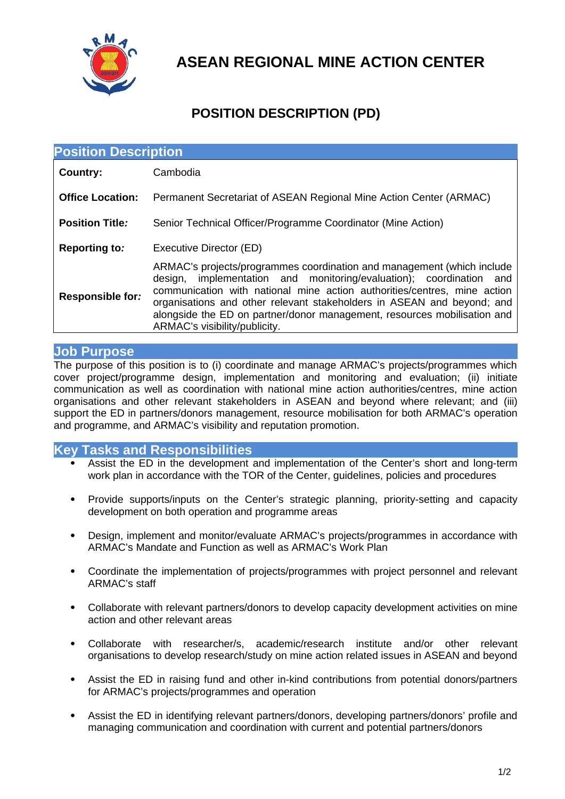

**ASEAN REGIONAL MINE ACTION CENTER**

## **POSITION DESCRIPTION (PD)**

| <b>Position Description</b> |                                                                                                                                                                                                                                                                                                                                                                                                                        |  |
|-----------------------------|------------------------------------------------------------------------------------------------------------------------------------------------------------------------------------------------------------------------------------------------------------------------------------------------------------------------------------------------------------------------------------------------------------------------|--|
| Country:                    | Cambodia                                                                                                                                                                                                                                                                                                                                                                                                               |  |
| <b>Office Location:</b>     | Permanent Secretariat of ASEAN Regional Mine Action Center (ARMAC)                                                                                                                                                                                                                                                                                                                                                     |  |
| <b>Position Title:</b>      | Senior Technical Officer/Programme Coordinator (Mine Action)                                                                                                                                                                                                                                                                                                                                                           |  |
| <b>Reporting to:</b>        | Executive Director (ED)                                                                                                                                                                                                                                                                                                                                                                                                |  |
| <b>Responsible for:</b>     | ARMAC's projects/programmes coordination and management (which include<br>implementation and monitoring/evaluation); coordination<br>design,<br>and<br>communication with national mine action authorities/centres, mine action<br>organisations and other relevant stakeholders in ASEAN and beyond; and<br>alongside the ED on partner/donor management, resources mobilisation and<br>ARMAC's visibility/publicity. |  |

## **Job Purpose**

The purpose of this position is to (i) coordinate and manage ARMAC's projects/programmes which cover project/programme design, implementation and monitoring and evaluation; (ii) initiate communication as well as coordination with national mine action authorities/centres, mine action organisations and other relevant stakeholders in ASEAN and beyond where relevant; and (iii) support the ED in partners/donors management, resource mobilisation for both ARMAC's operation and programme, and ARMAC's visibility and reputation promotion.

## **Key Tasks and Responsibilities**

- Assist the ED in the development and implementation of the Center's short and long-term work plan in accordance with the TOR of the Center, guidelines, policies and procedures
- Provide supports/inputs on the Center's strategic planning, priority-setting and capacity development on both operation and programme areas
- Design, implement and monitor/evaluate ARMAC's projects/programmes in accordance with ARMAC's Mandate and Function as well as ARMAC's Work Plan
- Coordinate the implementation of projects/programmes with project personnel and relevant ARMAC's staff
- Collaborate with relevant partners/donors to develop capacity development activities on mine action and other relevant areas
- Collaborate with researcher/s, academic/research institute and/or other relevant organisations to develop research/study on mine action related issues in ASEAN and beyond
- Assist the ED in raising fund and other in-kind contributions from potential donors/partners for ARMAC's projects/programmes and operation
- Assist the ED in identifying relevant partners/donors, developing partners/donors' profile and managing communication and coordination with current and potential partners/donors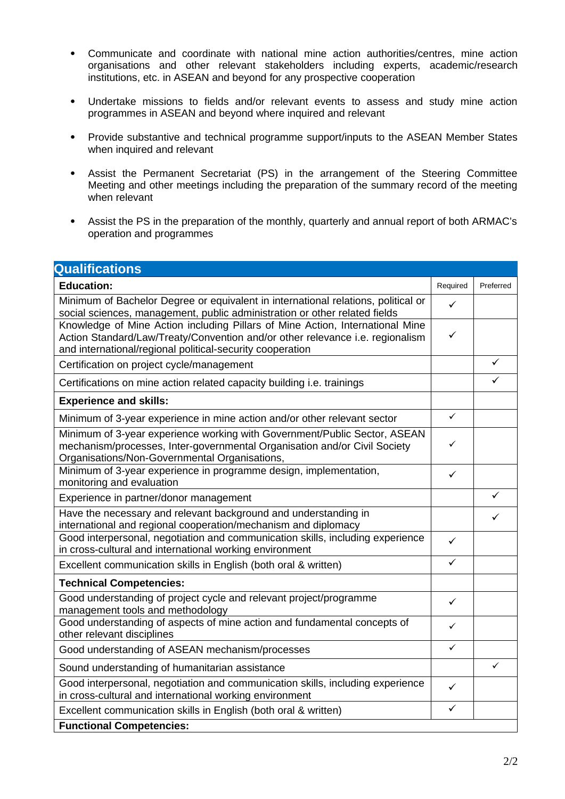- Communicate and coordinate with national mine action authorities/centres, mine action organisations and other relevant stakeholders including experts, academic/research institutions, etc. in ASEAN and beyond for any prospective cooperation
- Undertake missions to fields and/or relevant events to assess and study mine action programmes in ASEAN and beyond where inquired and relevant
- Provide substantive and technical programme support/inputs to the ASEAN Member States when inquired and relevant
- Assist the Permanent Secretariat (PS) in the arrangement of the Steering Committee Meeting and other meetings including the preparation of the summary record of the meeting when relevant
- Assist the PS in the preparation of the monthly, quarterly and annual report of both ARMAC's operation and programmes

| <b>Qualifications</b>                                                                                                                                                                                                       |              |           |  |
|-----------------------------------------------------------------------------------------------------------------------------------------------------------------------------------------------------------------------------|--------------|-----------|--|
| <b>Education:</b>                                                                                                                                                                                                           | Required     | Preferred |  |
| Minimum of Bachelor Degree or equivalent in international relations, political or<br>social sciences, management, public administration or other related fields                                                             |              |           |  |
| Knowledge of Mine Action including Pillars of Mine Action, International Mine<br>Action Standard/Law/Treaty/Convention and/or other relevance i.e. regionalism<br>and international/regional political-security cooperation |              |           |  |
| Certification on project cycle/management                                                                                                                                                                                   |              | ✓         |  |
| Certifications on mine action related capacity building <i>i.e.</i> trainings                                                                                                                                               |              |           |  |
| <b>Experience and skills:</b>                                                                                                                                                                                               |              |           |  |
| Minimum of 3-year experience in mine action and/or other relevant sector                                                                                                                                                    | $\checkmark$ |           |  |
| Minimum of 3-year experience working with Government/Public Sector, ASEAN<br>mechanism/processes, Inter-governmental Organisation and/or Civil Society<br>Organisations/Non-Governmental Organisations,                     |              |           |  |
| Minimum of 3-year experience in programme design, implementation,<br>monitoring and evaluation                                                                                                                              |              |           |  |
| Experience in partner/donor management                                                                                                                                                                                      |              | ✓         |  |
| Have the necessary and relevant background and understanding in<br>international and regional cooperation/mechanism and diplomacy                                                                                           |              | ✓         |  |
| Good interpersonal, negotiation and communication skills, including experience<br>in cross-cultural and international working environment                                                                                   |              |           |  |
| Excellent communication skills in English (both oral & written)                                                                                                                                                             |              |           |  |
| <b>Technical Competencies:</b>                                                                                                                                                                                              |              |           |  |
| Good understanding of project cycle and relevant project/programme<br>management tools and methodology                                                                                                                      | ✓            |           |  |
| Good understanding of aspects of mine action and fundamental concepts of<br>other relevant disciplines                                                                                                                      | ✓            |           |  |
| Good understanding of ASEAN mechanism/processes                                                                                                                                                                             | ✓            |           |  |
| Sound understanding of humanitarian assistance                                                                                                                                                                              |              | ✓         |  |
| Good interpersonal, negotiation and communication skills, including experience<br>in cross-cultural and international working environment                                                                                   |              |           |  |
| Excellent communication skills in English (both oral & written)                                                                                                                                                             |              |           |  |
| <b>Functional Competencies:</b>                                                                                                                                                                                             |              |           |  |